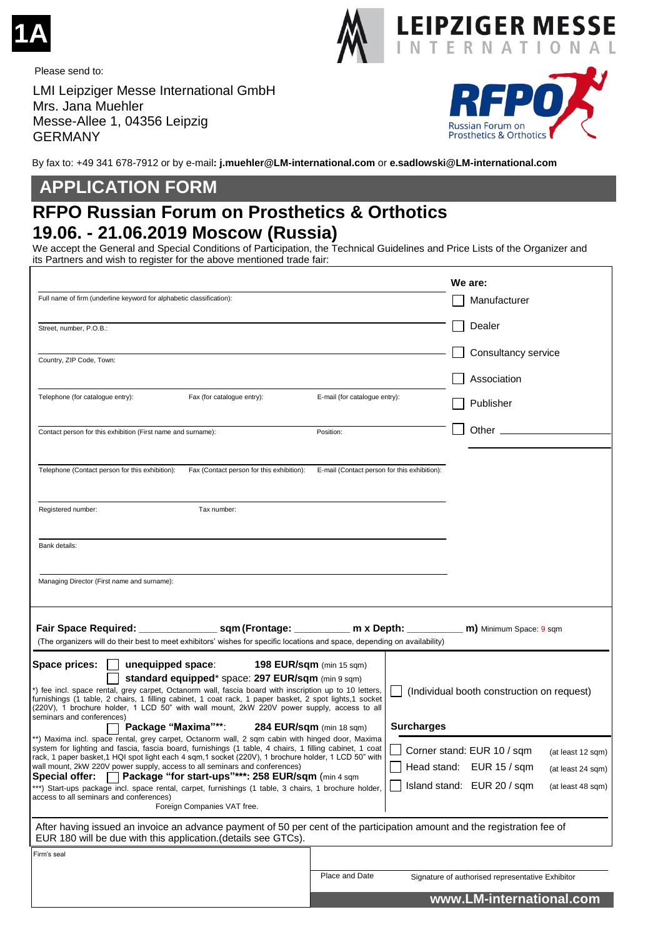

Please send to:

LMI Leipziger Messe International GmbH Mrs. Jana Muehler Messe-Allee 1, 04356 Leipzig GERMANY



**EIPZIGER MESSE TERNATIONAL** 

N

By fax to: +49 341 678-7912 or by e-mail**: j.muehler@LM-international.com** or **e.sadlowski@LM-international.com**

## **APPLICATION FORM**

## **RFPO Russian Forum on Prosthetics & Orthotics 19.06. - 21.06.2019 Moscow (Russia)**

We accept the General and Special Conditions of Participation, the Technical Guidelines and Price Lists of the Organizer and its Partners and wish to register for the above mentioned trade fair:

|                                                                                                                                                                                                                                                                                                                     |                                              |                   | We are:                                          |                   |
|---------------------------------------------------------------------------------------------------------------------------------------------------------------------------------------------------------------------------------------------------------------------------------------------------------------------|----------------------------------------------|-------------------|--------------------------------------------------|-------------------|
| Full name of firm (underline keyword for alphabetic classification):                                                                                                                                                                                                                                                |                                              |                   | Manufacturer                                     |                   |
| Street, number, P.O.B.:                                                                                                                                                                                                                                                                                             |                                              |                   | Dealer                                           |                   |
| Country, ZIP Code, Town:                                                                                                                                                                                                                                                                                            |                                              |                   | Consultancy service                              |                   |
|                                                                                                                                                                                                                                                                                                                     |                                              |                   | Association                                      |                   |
| Telephone (for catalogue entry):<br>Fax (for catalogue entry):                                                                                                                                                                                                                                                      | E-mail (for catalogue entry):                |                   | Publisher                                        |                   |
| Contact person for this exhibition (First name and surname):                                                                                                                                                                                                                                                        | Position:                                    |                   | Other.                                           |                   |
|                                                                                                                                                                                                                                                                                                                     |                                              |                   |                                                  |                   |
| Telephone (Contact person for this exhibition):<br>Fax (Contact person for this exhibition):                                                                                                                                                                                                                        | E-mail (Contact person for this exhibition): |                   |                                                  |                   |
| Registered number:<br>Tax number:                                                                                                                                                                                                                                                                                   |                                              |                   |                                                  |                   |
|                                                                                                                                                                                                                                                                                                                     |                                              |                   |                                                  |                   |
| Bank details:                                                                                                                                                                                                                                                                                                       |                                              |                   |                                                  |                   |
| Managing Director (First name and surname):                                                                                                                                                                                                                                                                         |                                              |                   |                                                  |                   |
|                                                                                                                                                                                                                                                                                                                     |                                              |                   |                                                  |                   |
|                                                                                                                                                                                                                                                                                                                     |                                              |                   | <b>m)</b> Minimum Space: 9 sqm                   |                   |
| (The organizers will do their best to meet exhibitors' wishes for specific locations and space, depending on availability)                                                                                                                                                                                          |                                              |                   |                                                  |                   |
| Space prices:<br>unequipped space:<br>standard equipped* space: 297 EUR/sqm (min 9 sqm)                                                                                                                                                                                                                             | 198 EUR/sqm (min 15 sqm)                     |                   |                                                  |                   |
| t) fee incl. space rental, grey carpet, Octanorm wall, fascia board with inscription up to 10 letters,<br>furnishings (1 table, 2 chairs, 1 filling cabinet, 1 coat rack, 1 paper basket, 2 spot lights, 1 socket<br>(220V), 1 brochure holder, 1 LCD 50" with wall mount, 2kW 220V power supply, access to all     |                                              |                   | (Individual booth construction on request)       |                   |
| seminars and conferences)<br>Package "Maxima"**:<br>284 EUR/sqm (min 18 sqm)                                                                                                                                                                                                                                        |                                              | <b>Surcharges</b> |                                                  |                   |
| **) Maxima incl. space rental, grey carpet, Octanorm wall, 2 sqm cabin with hinged door, Maxima<br>system for lighting and fascia, fascia board, furnishings (1 table, 4 chairs, 1 filling cabinet, 1 coat<br>rack, 1 paper basket, 1 HQI spot light each 4 sqm, 1 socket (220V), 1 brochure holder, 1 LCD 50" with |                                              |                   | Corner stand: EUR 10 / sqm                       | (at least 12 sqm) |
| wall mount, 2kW 220V power supply, access to all seminars and conferences)<br><b>Special offer:</b><br>Package "for start-ups"***: 258 EUR/sqm (min 4 sqm                                                                                                                                                           |                                              |                   | Head stand: EUR 15 / sqm                         | (at least 24 sqm) |
| ***) Start-ups package incl. space rental, carpet, furnishings (1 table, 3 chairs, 1 brochure holder,<br>access to all seminars and conferences)<br>Foreign Companies VAT free.                                                                                                                                     |                                              |                   | Island stand: EUR 20 / sqm                       | (at least 48 sqm) |
| After having issued an invoice an advance payment of 50 per cent of the participation amount and the registration fee of<br>EUR 180 will be due with this application. (details see GTCs).                                                                                                                          |                                              |                   |                                                  |                   |
| Firm's seal                                                                                                                                                                                                                                                                                                         |                                              |                   |                                                  |                   |
|                                                                                                                                                                                                                                                                                                                     | Place and Date                               |                   | Signature of authorised representative Exhibitor |                   |
|                                                                                                                                                                                                                                                                                                                     |                                              |                   | www.LM-international.com                         |                   |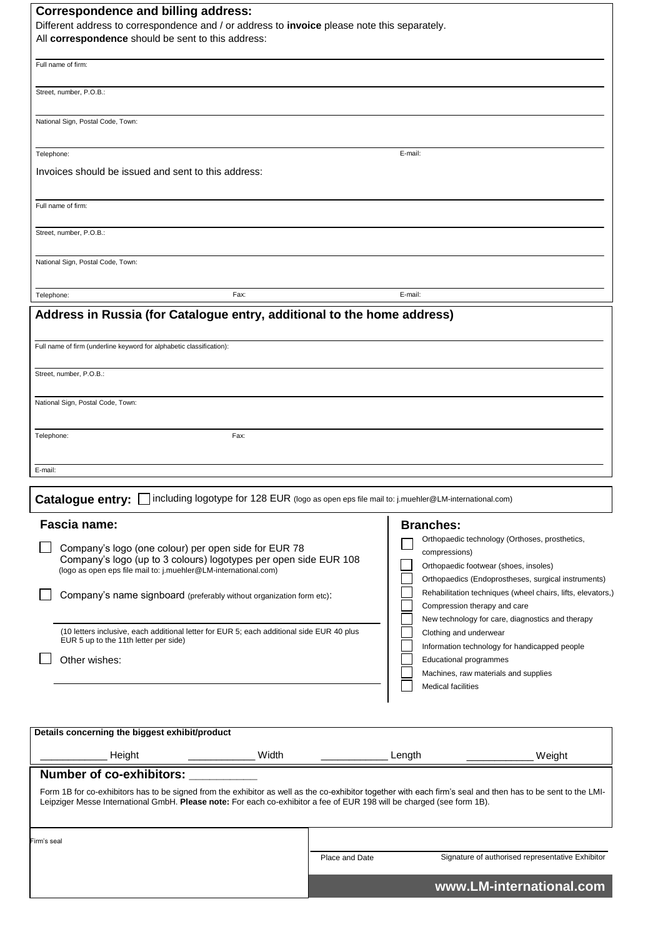| <b>Correspondence and billing address:</b><br>Different address to correspondence and / or address to invoice please note this separately.                                                                                                                                                                                |                |                                                                                                                             |  |  |  |  |
|---------------------------------------------------------------------------------------------------------------------------------------------------------------------------------------------------------------------------------------------------------------------------------------------------------------------------|----------------|-----------------------------------------------------------------------------------------------------------------------------|--|--|--|--|
| All correspondence should be sent to this address:                                                                                                                                                                                                                                                                        |                |                                                                                                                             |  |  |  |  |
| Full name of firm:                                                                                                                                                                                                                                                                                                        |                |                                                                                                                             |  |  |  |  |
| Street, number, P.O.B.:                                                                                                                                                                                                                                                                                                   |                |                                                                                                                             |  |  |  |  |
| National Sign, Postal Code, Town:                                                                                                                                                                                                                                                                                         |                |                                                                                                                             |  |  |  |  |
| Telephone:                                                                                                                                                                                                                                                                                                                |                | E-mail:                                                                                                                     |  |  |  |  |
| Invoices should be issued and sent to this address:                                                                                                                                                                                                                                                                       |                |                                                                                                                             |  |  |  |  |
| Full name of firm:                                                                                                                                                                                                                                                                                                        |                |                                                                                                                             |  |  |  |  |
| Street, number, P.O.B.:                                                                                                                                                                                                                                                                                                   |                |                                                                                                                             |  |  |  |  |
| National Sign, Postal Code, Town:                                                                                                                                                                                                                                                                                         |                |                                                                                                                             |  |  |  |  |
| Fax:<br>Telephone:                                                                                                                                                                                                                                                                                                        |                | E-mail:                                                                                                                     |  |  |  |  |
| Address in Russia (for Catalogue entry, additional to the home address)                                                                                                                                                                                                                                                   |                |                                                                                                                             |  |  |  |  |
| Full name of firm (underline keyword for alphabetic classification):                                                                                                                                                                                                                                                      |                |                                                                                                                             |  |  |  |  |
| Street, number, P.O.B.:                                                                                                                                                                                                                                                                                                   |                |                                                                                                                             |  |  |  |  |
| National Sign, Postal Code, Town:                                                                                                                                                                                                                                                                                         |                |                                                                                                                             |  |  |  |  |
| Telephone:<br>Fax:                                                                                                                                                                                                                                                                                                        |                |                                                                                                                             |  |  |  |  |
| E-mail:                                                                                                                                                                                                                                                                                                                   |                |                                                                                                                             |  |  |  |  |
| including logotype for 128 EUR (logo as open eps file mail to: j.muehler@LM-international.com)<br><b>Catalogue entry:</b>                                                                                                                                                                                                 |                |                                                                                                                             |  |  |  |  |
| Fascia name:<br>Company's logo (one colour) per open side for EUR 78                                                                                                                                                                                                                                                      |                | <b>Branches:</b><br>Orthopaedic technology (Orthoses, prosthetics,<br>compressions)                                         |  |  |  |  |
| Company's logo (up to 3 colours) logotypes per open side EUR 108<br>(logo as open eps file mail to: j.muehler@LM-international.com)                                                                                                                                                                                       |                | Orthopaedic footwear (shoes, insoles)<br>Orthopaedics (Endoprostheses, surgical instruments)                                |  |  |  |  |
| Company's name signboard (preferably without organization form etc):                                                                                                                                                                                                                                                      |                | Rehabilitation techniques (wheel chairs, lifts, elevators,)<br>Compression therapy and care                                 |  |  |  |  |
| (10 letters inclusive, each additional letter for EUR 5; each additional side EUR 40 plus<br>EUR 5 up to the 11th letter per side)                                                                                                                                                                                        |                | New technology for care, diagnostics and therapy<br>Clothing and underwear<br>Information technology for handicapped people |  |  |  |  |
| Other wishes:                                                                                                                                                                                                                                                                                                             |                | <b>Educational programmes</b><br>Machines, raw materials and supplies                                                       |  |  |  |  |
|                                                                                                                                                                                                                                                                                                                           |                | <b>Medical facilities</b>                                                                                                   |  |  |  |  |
| Details concerning the biggest exhibit/product                                                                                                                                                                                                                                                                            |                |                                                                                                                             |  |  |  |  |
| Width<br>Height                                                                                                                                                                                                                                                                                                           |                | Length<br>Weight                                                                                                            |  |  |  |  |
| <b>Number of co-exhibitors:</b><br>Form 1B for co-exhibitors has to be signed from the exhibitor as well as the co-exhibitor together with each firm's seal and then has to be sent to the LMI-<br>Leipziger Messe International GmbH. Please note: For each co-exhibitor a fee of EUR 198 will be charged (see form 1B). |                |                                                                                                                             |  |  |  |  |
| Firm's seal                                                                                                                                                                                                                                                                                                               |                |                                                                                                                             |  |  |  |  |
|                                                                                                                                                                                                                                                                                                                           | Place and Date | Signature of authorised representative Exhibitor                                                                            |  |  |  |  |
|                                                                                                                                                                                                                                                                                                                           |                | www.LM-international.com                                                                                                    |  |  |  |  |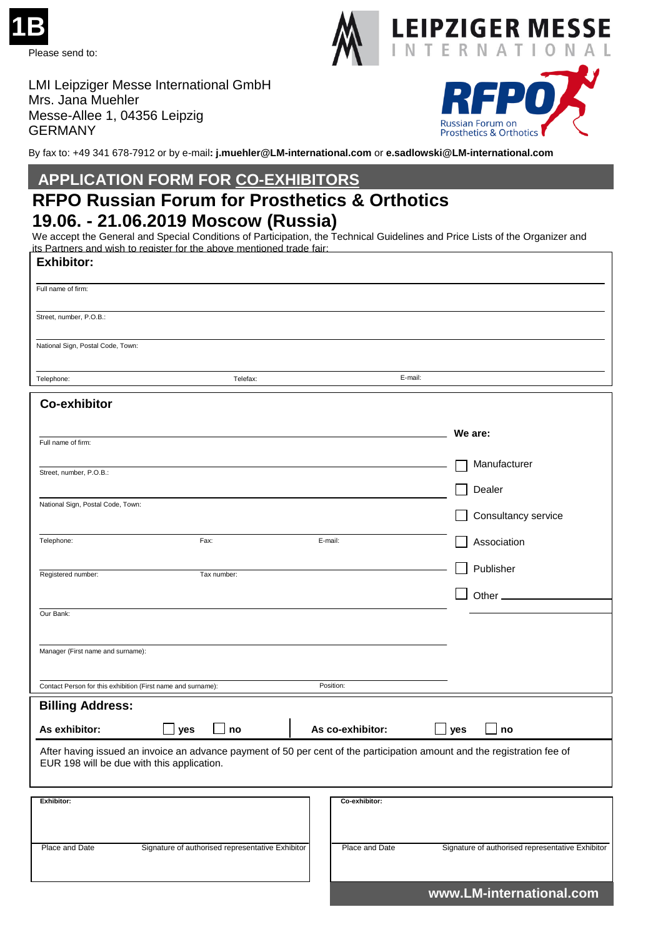



**Russian Forum on Prosthetics & Orthotics** 

LMI Leipziger Messe International GmbH Mrs. Jana Muehler Messe-Allee 1, 04356 Leipzig GERMANY

By fax to: +49 341 678-7912 or by e-mail**: j.muehler@LM-international.com** or **e.sadlowski@LM-international.com**

## **APPLICATION FORM FOR CO-EXHIBITORS**

# **RFPO Russian Forum for Prosthetics & Orthotics 19.06. - 21.06.2019 Moscow (Russia)**

We accept the General and Special Conditions of Participation, the Technical Guidelines and Price Lists of the Organizer and its Partners and wish to register for the above mentioned trade fair:

| <b>Exhibitor:</b>                                                                                                                                                      |                                                  |                  |                                                  |  |  |
|------------------------------------------------------------------------------------------------------------------------------------------------------------------------|--------------------------------------------------|------------------|--------------------------------------------------|--|--|
| Full name of firm:                                                                                                                                                     |                                                  |                  |                                                  |  |  |
| Street, number, P.O.B.:                                                                                                                                                |                                                  |                  |                                                  |  |  |
| National Sign, Postal Code, Town:                                                                                                                                      |                                                  |                  |                                                  |  |  |
| Telephone:                                                                                                                                                             | Telefax:                                         |                  | E-mail:                                          |  |  |
| <b>Co-exhibitor</b>                                                                                                                                                    |                                                  |                  |                                                  |  |  |
| Full name of firm:                                                                                                                                                     |                                                  |                  | We are:                                          |  |  |
|                                                                                                                                                                        |                                                  |                  | Manufacturer                                     |  |  |
| Street, number, P.O.B.:                                                                                                                                                |                                                  |                  | Dealer                                           |  |  |
| National Sign, Postal Code, Town:                                                                                                                                      |                                                  |                  | Consultancy service                              |  |  |
|                                                                                                                                                                        |                                                  |                  |                                                  |  |  |
| Telephone:                                                                                                                                                             | Fax:                                             | E-mail:          | Association                                      |  |  |
| Registered number:                                                                                                                                                     | Tax number:                                      |                  | Publisher                                        |  |  |
|                                                                                                                                                                        |                                                  |                  | Other_                                           |  |  |
| Our Bank:                                                                                                                                                              |                                                  |                  |                                                  |  |  |
| Manager (First name and surname):                                                                                                                                      |                                                  |                  |                                                  |  |  |
|                                                                                                                                                                        |                                                  |                  |                                                  |  |  |
| Contact Person for this exhibition (First name and surname):                                                                                                           |                                                  | Position:        |                                                  |  |  |
| <b>Billing Address:</b>                                                                                                                                                |                                                  |                  |                                                  |  |  |
| As exhibitor:                                                                                                                                                          | no<br>yes                                        | As co-exhibitor: | $\mathbin{\sqcup}$ yes<br>no                     |  |  |
| After having issued an invoice an advance payment of 50 per cent of the participation amount and the registration fee of<br>EUR 198 will be due with this application. |                                                  |                  |                                                  |  |  |
| Exhibitor:                                                                                                                                                             |                                                  | Co-exhibitor:    |                                                  |  |  |
|                                                                                                                                                                        |                                                  |                  |                                                  |  |  |
| Place and Date                                                                                                                                                         | Signature of authorised representative Exhibitor | Place and Date   | Signature of authorised representative Exhibitor |  |  |

 **www.LM-international.com**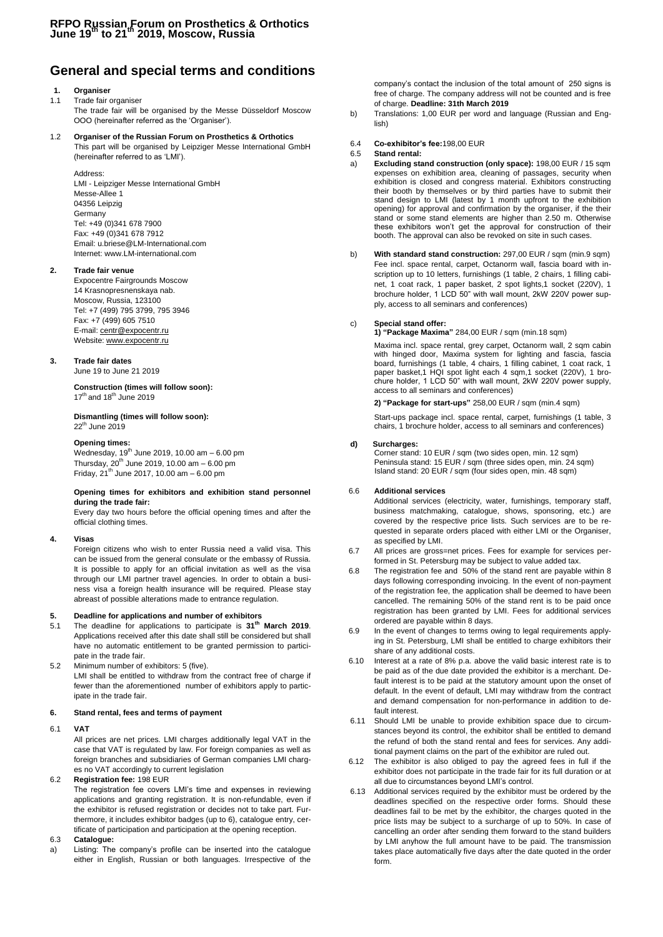### **General and special terms and conditions**

#### **1. Organiser**

#### 1.1 Trade fair organiser

The trade fair will be organised by the Messe Düsseldorf Moscow OOO (hereinafter referred as the 'Organiser').

### 1.2 **Organiser of the Russian Forum on Prosthetics & Orthotics**

This part will be organised by Leipziger Messe International GmbH (hereinafter referred to as 'LMI').

Address:

LMI - Leipziger Messe International GmbH Messe-Allee 1 04356 Leipzig Germany Tel: +49 (0)341 678 7900 Fax: +49 (0)341 678 7912 Email[: u.briese@LM-International.com](mailto:u.briese@LM-International.com) Internet: www.LM-international.com

#### **2. Trade fair venue**

Expocentre Fairgrounds Moscow 14 Krasnopresnenskaya nab. Moscow, Russia, 123100 Tel: +7 (499) 795 3799, 795 3946 Fax: +7 (499) 605 7510 E-mail[: centr@expocentr.ru](mailto:centr@expocentr.ru) Website[: www.expocentr.ru](http://www.expocentr.ru/)

#### **3. Trade fair dates**

June 19 to June 21 2019

**Construction (times will follow soon):** 17<sup>th</sup> and 18<sup>th</sup> June 2019

**Dismantling (times will follow soon):**  $22<sup>th</sup>$  June 2019

#### **Opening times:**

Wednesday, 19<sup>th</sup> June 2019, 10.00 am - 6.00 pm Thursday,  $20^{th}$  June 2019, 10.00 am  $-6.00$  pm Friday,  $21^{th}$  June 2017, 10.00 am  $-6.00$  pm

#### **Opening times for exhibitors and exhibition stand personnel during the trade fair:**

Every day two hours before the official opening times and after the official clothing times.

#### **4. Visas**

Foreign citizens who wish to enter Russia need a valid visa. This can be issued from the general consulate or the embassy of Russia. It is possible to apply for an official invitation as well as the visa through our LMI partner travel agencies. In order to obtain a business visa a foreign health insurance will be required. Please stay abreast of possible alterations made to entrance regulation.

#### **5. Deadline for applications and number of exhibitors**

- 5.1 The deadline for applications to participate is **31th March 2019**. Applications received after this date shall still be considered but shall have no automatic entitlement to be granted permission to participate in the trade fair.
- 5.2 Minimum number of exhibitors: 5 (five). LMI shall be entitled to withdraw from the contract free of charge if fewer than the aforementioned number of exhibitors apply to participate in the trade fair.

#### **6. Stand rental, fees and terms of payment**

6.1 **VAT**

All prices are net prices. LMI charges additionally legal VAT in the case that VAT is regulated by law. For foreign companies as well as foreign branches and subsidiaries of German companies LMI charges no VAT accordingly to current legislation

#### 6.2 **Registration fee:** 198 EUR

The registration fee covers LMI's time and expenses in reviewing applications and granting registration. It is non-refundable, even if the exhibitor is refused registration or decides not to take part. Furthermore, it includes exhibitor badges (up to 6), catalogue entry, certificate of participation and participation at the opening reception.

#### 6.3 **Catalogue:**

a) Listing: The company's profile can be inserted into the catalogue either in English, Russian or both languages. Irrespective of the company's contact the inclusion of the total amount of 250 signs is free of charge. The company address will not be counted and is free of charge. **Deadline: 31th March 2019**

- b) Translations: 1,00 EUR per word and language (Russian and English)
- 6.4 **Co-exhibitor's fee:**198,00 EUR

#### 6.5 **Stand rental:**

- a) **Excluding stand construction (only space):** 198,00 EUR / 15 sqm expenses on exhibition area, cleaning of passages, security when exhibition is closed and congress material. Exhibitors constructing their booth by themselves or by third parties have to submit their stand design to LMI (latest by 1 month upfront to the exhibition opening) for approval and confirmation by the organiser, if the their stand or some stand elements are higher than 2.50 m. Otherwise these exhibitors won't get the approval for construction of their booth. The approval can also be revoked on site in such cases.
- b) **With standard stand construction:** 297,00 EUR / sqm (min.9 sqm) Fee incl. space rental, carpet, Octanorm wall, fascia board with inscription up to 10 letters, furnishings (1 table, 2 chairs, 1 filling cabinet, 1 coat rack, 1 paper basket, 2 spot lights,1 socket (220V), 1 brochure holder, 1 LCD 50" with wall mount, 2kW 220V power supply, access to all seminars and conferences)

#### c) **Special stand offer:**

**1) "Package Maxima"** 284,00 EUR / sqm (min.18 sqm)

Maxima incl. space rental, grey carpet, Octanorm wall, 2 sqm cabin with hinged door, Maxima system for lighting and fascia, fascia board, furnishings (1 table, 4 chairs, 1 filling cabinet, 1 coat rack, 1 paper basket,1 HQI spot light each 4 sqm,1 socket (220V), 1 brochure holder, 1 LCD 50" with wall mount, 2kW 220V power supply, access to all seminars and conferences)

#### **2) "Package for start-ups"** 258,00 EUR / sqm (min.4 sqm)

Start-ups package incl. space rental, carpet, furnishings (1 table, 3 chairs, 1 brochure holder, access to all seminars and conferences)

#### **d) Surcharges:**

Corner stand: 10 EUR / sqm (two sides open, min. 12 sqm) Peninsula stand: 15 EUR / sqm (three sides open, min. 24 sqm) Island stand: 20 EUR / sqm (four sides open, min. 48 sqm)

#### 6.6 **Additional services**

Additional services (electricity, water, furnishings, temporary staff, business matchmaking, catalogue, shows, sponsoring, etc.) are covered by the respective price lists. Such services are to be requested in separate orders placed with either LMI or the Organiser, as specified by LMI.

- 6.7 All prices are gross=net prices. Fees for example for services performed in St. Petersburg may be subject to value added tax.
- 6.8 The registration fee and 50% of the stand rent are payable within 8 days following corresponding invoicing. In the event of non-payment of the registration fee, the application shall be deemed to have been cancelled. The remaining 50% of the stand rent is to be paid once registration has been granted by LMI. Fees for additional services ordered are payable within 8 days.
- 6.9 In the event of changes to terms owing to legal requirements applying in St. Petersburg, LMI shall be entitled to charge exhibitors their share of any additional costs.
- 6.10 Interest at a rate of 8% p.a. above the valid basic interest rate is to be paid as of the due date provided the exhibitor is a merchant. Default interest is to be paid at the statutory amount upon the onset of default. In the event of default, LMI may withdraw from the contract and demand compensation for non-performance in addition to default interest.
- 6.11 Should LMI be unable to provide exhibition space due to circumstances beyond its control, the exhibitor shall be entitled to demand the refund of both the stand rental and fees for services. Any additional payment claims on the part of the exhibitor are ruled out.
- 6.12 The exhibitor is also obliged to pay the agreed fees in full if the exhibitor does not participate in the trade fair for its full duration or at all due to circumstances beyond LMI's control.
- 6.13 Additional services required by the exhibitor must be ordered by the deadlines specified on the respective order forms. Should these deadlines fail to be met by the exhibitor, the charges quoted in the price lists may be subject to a surcharge of up to 50%. In case of cancelling an order after sending them forward to the stand builders by LMI anyhow the full amount have to be paid. The transmission takes place automatically five days after the date quoted in the order form.